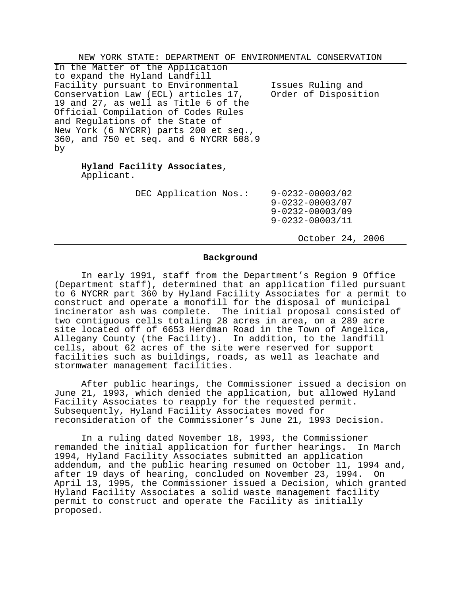NEW YORK STATE: DEPARTMENT OF ENVIRONMENTAL CONSERVATION In the Matter of the Application to expand the Hyland Landfill Facility pursuant to Environmental Issues Ruling and<br>Conservation Law (ECL) articles 17, Order of Disposition Conservation Law (ECL) articles 17, 19 and 27, as well as Title 6 of the Official Compilation of Codes Rules and Regulations of the State of New York (6 NYCRR) parts 200 et seq., 360, and 750 et seq. and 6 NYCRR 608.9 by

## **Hyland Facility Associates**, Applicant.

| DEC Application Nos.: | $9 - 0232 - 00003/02$<br>$9 - 0232 - 00003/07$<br>$9 - 0232 - 00003/09$ |
|-----------------------|-------------------------------------------------------------------------|
|                       | $9 - 0232 - 00003/11$                                                   |
|                       |                                                                         |

October 24, 2006

## **Background**

In early 1991, staff from the Department's Region 9 Office (Department staff), determined that an application filed pursuant to 6 NYCRR part 360 by Hyland Facility Associates for a permit to construct and operate a monofill for the disposal of municipal incinerator ash was complete. The initial proposal consisted of two contiguous cells totaling 28 acres in area, on a 289 acre site located off of 6653 Herdman Road in the Town of Angelica, Allegany County (the Facility). In addition, to the landfill cells, about 62 acres of the site were reserved for support facilities such as buildings, roads, as well as leachate and stormwater management facilities.

After public hearings, the Commissioner issued a decision on June 21, 1993, which denied the application, but allowed Hyland Facility Associates to reapply for the requested permit. Subsequently, Hyland Facility Associates moved for reconsideration of the Commissioner's June 21, 1993 Decision.

In a ruling dated November 18, 1993, the Commissioner remanded the initial application for further hearings. In March 1994, Hyland Facility Associates submitted an application addendum, and the public hearing resumed on October 11, 1994 and, after 19 days of hearing, concluded on November 23, 1994. On April 13, 1995, the Commissioner issued a Decision, which granted Hyland Facility Associates a solid waste management facility permit to construct and operate the Facility as initially proposed.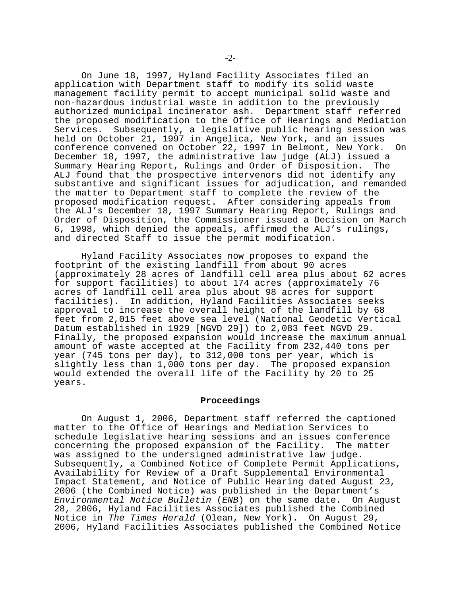On June 18, 1997, Hyland Facility Associates filed an application with Department staff to modify its solid waste management facility permit to accept municipal solid waste and non-hazardous industrial waste in addition to the previously authorized municipal incinerator ash. Department staff referred the proposed modification to the Office of Hearings and Mediation Services. Subsequently, a legislative public hearing session was held on October 21, 1997 in Angelica, New York, and an issues conference convened on October 22, 1997 in Belmont, New York. On December 18, 1997, the administrative law judge (ALJ) issued a Summary Hearing Report, Rulings and Order of Disposition. The ALJ found that the prospective intervenors did not identify any substantive and significant issues for adjudication, and remanded the matter to Department staff to complete the review of the proposed modification request. After considering appeals from the ALJ's December 18, 1997 Summary Hearing Report, Rulings and Order of Disposition, the Commissioner issued a Decision on March 6, 1998, which denied the appeals, affirmed the ALJ's rulings, and directed Staff to issue the permit modification.

Hyland Facility Associates now proposes to expand the footprint of the existing landfill from about 90 acres (approximately 28 acres of landfill cell area plus about 62 acres for support facilities) to about 174 acres (approximately 76 acres of landfill cell area plus about 98 acres for support facilities). In addition, Hyland Facilities Associates seeks approval to increase the overall height of the landfill by 68 feet from 2,015 feet above sea level (National Geodetic Vertical Datum established in 1929 [NGVD 29]) to 2,083 feet NGVD 29. Finally, the proposed expansion would increase the maximum annual amount of waste accepted at the Facility from 232,440 tons per year (745 tons per day), to 312,000 tons per year, which is slightly less than 1,000 tons per day. The proposed expansion would extended the overall life of the Facility by 20 to 25 years.

## **Proceedings**

On August 1, 2006, Department staff referred the captioned matter to the Office of Hearings and Mediation Services to schedule legislative hearing sessions and an issues conference concerning the proposed expansion of the Facility. The matter was assigned to the undersigned administrative law judge. Subsequently, a Combined Notice of Complete Permit Applications, Availability for Review of a Draft Supplemental Environmental Impact Statement, and Notice of Public Hearing dated August 23, 2006 (the Combined Notice) was published in the Department's *Environmental Notice Bulletin* (*ENB*) on the same date. On August 28, 2006, Hyland Facilities Associates published the Combined Notice in *The Times Herald* (Olean, New York). On August 29, 2006, Hyland Facilities Associates published the Combined Notice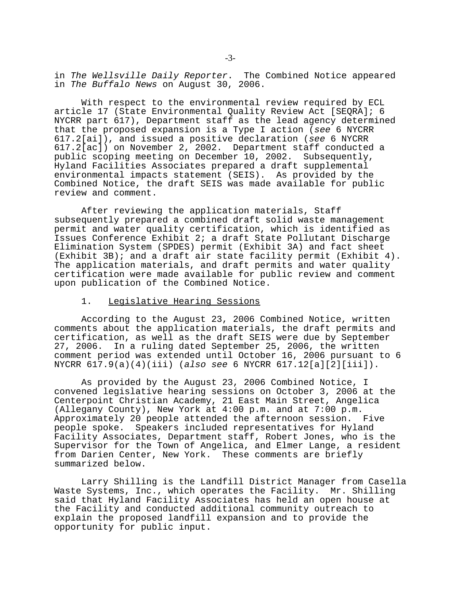in *The Wellsville Daily Reporter*. The Combined Notice appeared in *The Buffalo News* on August 30, 2006.

With respect to the environmental review required by ECL article 17 (State Environmental Quality Review Act [SEQRA]; 6 NYCRR part 617), Department staff as the lead agency determined that the proposed expansion is a Type I action (*see* 6 NYCRR 617.2[ai]), and issued a positive declaration (*see* 6 NYCRR 617.2[ac]) on November 2, 2002. Department staff conducted a public scoping meeting on December 10, 2002. Subsequently, Hyland Facilities Associates prepared a draft supplemental environmental impacts statement (SEIS). As provided by the Combined Notice, the draft SEIS was made available for public review and comment.

After reviewing the application materials, Staff subsequently prepared a combined draft solid waste management permit and water quality certification, which is identified as Issues Conference Exhibit 2; a draft State Pollutant Discharge Elimination System (SPDES) permit (Exhibit 3A) and fact sheet (Exhibit 3B); and a draft air state facility permit (Exhibit 4). The application materials, and draft permits and water quality certification were made available for public review and comment upon publication of the Combined Notice.

### 1. Legislative Hearing Sessions

According to the August 23, 2006 Combined Notice, written comments about the application materials, the draft permits and certification, as well as the draft SEIS were due by September 27, 2006. In a ruling dated September 25, 2006, the written comment period was extended until October 16, 2006 pursuant to 6 NYCRR 617.9(a)(4)(iii) (*also see* 6 NYCRR 617.12[a][2][iii]).

As provided by the August 23, 2006 Combined Notice, I convened legislative hearing sessions on October 3, 2006 at the Centerpoint Christian Academy, 21 East Main Street, Angelica (Allegany County), New York at 4:00 p.m. and at 7:00 p.m. Approximately 20 people attended the afternoon session. Five people spoke. Speakers included representatives for Hyland Facility Associates, Department staff, Robert Jones, who is the Supervisor for the Town of Angelica, and Elmer Lange, a resident from Darien Center, New York. These comments are briefly summarized below.

Larry Shilling is the Landfill District Manager from Casella Waste Systems, Inc., which operates the Facility. Mr. Shilling said that Hyland Facility Associates has held an open house at the Facility and conducted additional community outreach to explain the proposed landfill expansion and to provide the opportunity for public input.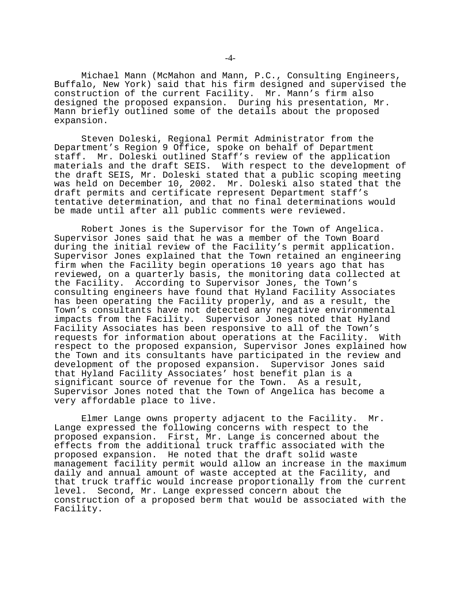Michael Mann (McMahon and Mann, P.C., Consulting Engineers, Buffalo, New York) said that his firm designed and supervised the construction of the current Facility. Mr. Mann's firm also designed the proposed expansion. During his presentation, Mr. Mann briefly outlined some of the details about the proposed expansion.

Steven Doleski, Regional Permit Administrator from the Department's Region 9 Office, spoke on behalf of Department staff. Mr. Doleski outlined Staff's review of the application materials and the draft SEIS. With respect to the development of the draft SEIS, Mr. Doleski stated that a public scoping meeting was held on December 10, 2002. Mr. Doleski also stated that the draft permits and certificate represent Department staff's tentative determination, and that no final determinations would be made until after all public comments were reviewed.

Robert Jones is the Supervisor for the Town of Angelica. Supervisor Jones said that he was a member of the Town Board during the initial review of the Facility's permit application. Supervisor Jones explained that the Town retained an engineering firm when the Facility begin operations 10 years ago that has reviewed, on a quarterly basis, the monitoring data collected at the Facility. According to Supervisor Jones, the Town's consulting engineers have found that Hyland Facility Associates has been operating the Facility properly, and as a result, the Town's consultants have not detected any negative environmental impacts from the Facility. Supervisor Jones noted that Hyland Facility Associates has been responsive to all of the Town's requests for information about operations at the Facility. With respect to the proposed expansion, Supervisor Jones explained how the Town and its consultants have participated in the review and development of the proposed expansion. Supervisor Jones said that Hyland Facility Associates' host benefit plan is a significant source of revenue for the Town. As a result, Supervisor Jones noted that the Town of Angelica has become a very affordable place to live.

Elmer Lange owns property adjacent to the Facility. Mr. Lange expressed the following concerns with respect to the proposed expansion. First, Mr. Lange is concerned about the effects from the additional truck traffic associated with the proposed expansion. He noted that the draft solid waste management facility permit would allow an increase in the maximum daily and annual amount of waste accepted at the Facility, and that truck traffic would increase proportionally from the current level. Second, Mr. Lange expressed concern about the construction of a proposed berm that would be associated with the Facility.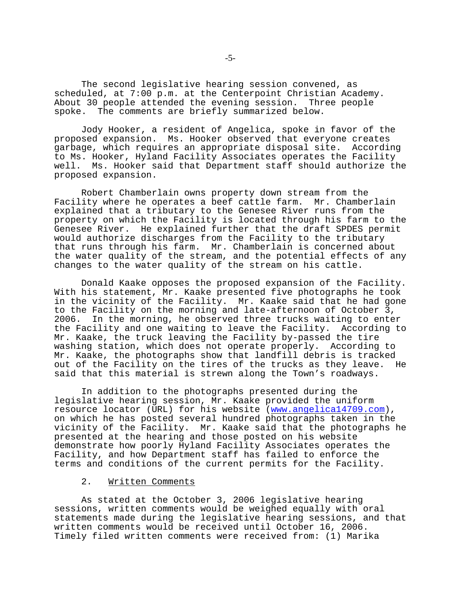The second legislative hearing session convened, as scheduled, at 7:00 p.m. at the Centerpoint Christian Academy. About 30 people attended the evening session. Three people spoke. The comments are briefly summarized below.

Jody Hooker, a resident of Angelica, spoke in favor of the proposed expansion. Ms. Hooker observed that everyone creates garbage, which requires an appropriate disposal site. According to Ms. Hooker, Hyland Facility Associates operates the Facility well. Ms. Hooker said that Department staff should authorize the proposed expansion.

Robert Chamberlain owns property down stream from the Facility where he operates a beef cattle farm. Mr. Chamberlain explained that a tributary to the Genesee River runs from the property on which the Facility is located through his farm to the Genesee River. He explained further that the draft SPDES permit would authorize discharges from the Facility to the tributary that runs through his farm. Mr. Chamberlain is concerned about the water quality of the stream, and the potential effects of any changes to the water quality of the stream on his cattle.

Donald Kaake opposes the proposed expansion of the Facility. With his statement, Mr. Kaake presented five photographs he took in the vicinity of the Facility. Mr. Kaake said that he had gone to the Facility on the morning and late-afternoon of October 3, 2006. In the morning, he observed three trucks waiting to enter the Facility and one waiting to leave the Facility. According to Mr. Kaake, the truck leaving the Facility by-passed the tire washing station, which does not operate properly. According to Mr. Kaake, the photographs show that landfill debris is tracked out of the Facility on the tires of the trucks as they leave. He said that this material is strewn along the Town's roadways.

In addition to the photographs presented during the legislative hearing session, Mr. Kaake provided the uniform resource locator (URL) for his website (www.angelical4709.com), on which he has posted several hundred photographs taken in the vicinity of the Facility. Mr. Kaake said that the photographs he presented at the hearing and those posted on his website demonstrate how poorly Hyland Facility Associates operates the Facility, and how Department staff has failed to enforce the terms and conditions of the current permits for the Facility.

## 2. Written Comments

As stated at the October 3, 2006 legislative hearing sessions, written comments would be weighed equally with oral statements made during the legislative hearing sessions, and that written comments would be received until October 16, 2006. Timely filed written comments were received from: (1) Marika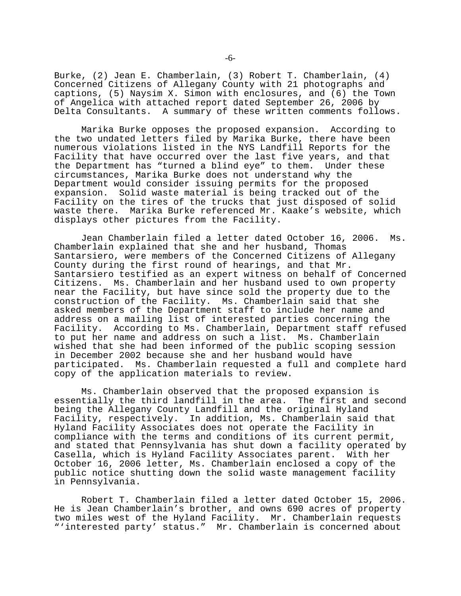Burke, (2) Jean E. Chamberlain, (3) Robert T. Chamberlain, (4) Concerned Citizens of Allegany County with 21 photographs and captions, (5) Naysim X. Simon with enclosures, and (6) the Town of Angelica with attached report dated September 26, 2006 by Delta Consultants. A summary of these written comments follows.

Marika Burke opposes the proposed expansion. According to the two undated letters filed by Marika Burke, there have been numerous violations listed in the NYS Landfill Reports for the Facility that have occurred over the last five years, and that the Department has "turned a blind eye" to them. Under these circumstances, Marika Burke does not understand why the Department would consider issuing permits for the proposed expansion. Solid waste material is being tracked out of the Facility on the tires of the trucks that just disposed of solid waste there. Marika Burke referenced Mr. Kaake's website, which displays other pictures from the Facility.

Jean Chamberlain filed a letter dated October 16, 2006. Ms. Chamberlain explained that she and her husband, Thomas Santarsiero, were members of the Concerned Citizens of Allegany County during the first round of hearings, and that Mr. Santarsiero testified as an expert witness on behalf of Concerned Citizens. Ms. Chamberlain and her husband used to own property near the Facility, but have since sold the property due to the construction of the Facility. Ms. Chamberlain said that she asked members of the Department staff to include her name and address on a mailing list of interested parties concerning the Facility. According to Ms. Chamberlain, Department staff refused to put her name and address on such a list. Ms. Chamberlain wished that she had been informed of the public scoping session in December 2002 because she and her husband would have participated. Ms. Chamberlain requested a full and complete hard copy of the application materials to review.

Ms. Chamberlain observed that the proposed expansion is essentially the third landfill in the area. The first and second being the Allegany County Landfill and the original Hyland Facility, respectively. In addition, Ms. Chamberlain said that Hyland Facility Associates does not operate the Facility in compliance with the terms and conditions of its current permit, and stated that Pennsylvania has shut down a facility operated by Casella, which is Hyland Facility Associates parent. With her October 16, 2006 letter, Ms. Chamberlain enclosed a copy of the public notice shutting down the solid waste management facility in Pennsylvania.

Robert T. Chamberlain filed a letter dated October 15, 2006. He is Jean Chamberlain's brother, and owns 690 acres of property two miles west of the Hyland Facility. Mr. Chamberlain requests "'interested party' status." Mr. Chamberlain is concerned about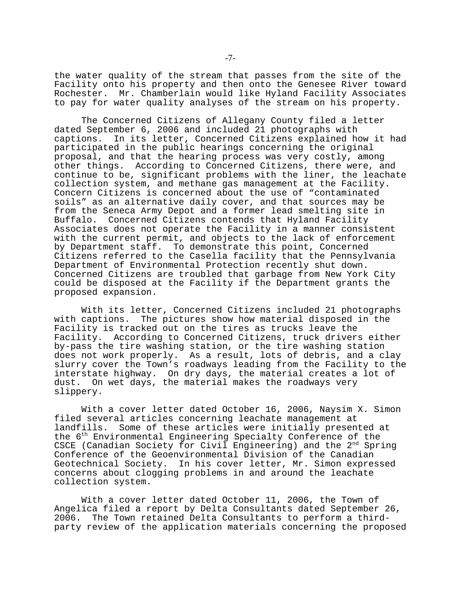the water quality of the stream that passes from the site of the Facility onto his property and then onto the Genesee River toward Rochester. Mr. Chamberlain would like Hyland Facility Associates to pay for water quality analyses of the stream on his property.

The Concerned Citizens of Allegany County filed a letter dated September 6, 2006 and included 21 photographs with captions. In its letter, Concerned Citizens explained how it had participated in the public hearings concerning the original proposal, and that the hearing process was very costly, among other things. According to Concerned Citizens, there were, and continue to be, significant problems with the liner, the leachate collection system, and methane gas management at the Facility. Concern Citizens is concerned about the use of "contaminated soils" as an alternative daily cover, and that sources may be from the Seneca Army Depot and a former lead smelting site in Buffalo. Concerned Citizens contends that Hyland Facility Associates does not operate the Facility in a manner consistent with the current permit, and objects to the lack of enforcement by Department staff. To demonstrate this point, Concerned Citizens referred to the Casella facility that the Pennsylvania Department of Environmental Protection recently shut down. Concerned Citizens are troubled that garbage from New York City could be disposed at the Facility if the Department grants the proposed expansion.

With its letter, Concerned Citizens included 21 photographs with captions. The pictures show how material disposed in the Facility is tracked out on the tires as trucks leave the Facility. According to Concerned Citizens, truck drivers either by-pass the tire washing station, or the tire washing station does not work properly. As a result, lots of debris, and a clay slurry cover the Town's roadways leading from the Facility to the interstate highway. On dry days, the material creates a lot of dust. On wet days, the material makes the roadways very slippery.

With a cover letter dated October 16, 2006, Naysim X. Simon filed several articles concerning leachate management at landfills. Some of these articles were initially presented at the 6th Environmental Engineering Specialty Conference of the CSCE (Canadian Society for Civil Engineering) and the 2<sup>nd</sup> Spring Conference of the Geoenvironmental Division of the Canadian Geotechnical Society. In his cover letter, Mr. Simon expressed concerns about clogging problems in and around the leachate collection system.

With a cover letter dated October 11, 2006, the Town of Angelica filed a report by Delta Consultants dated September 26, 2006. The Town retained Delta Consultants to perform a thirdparty review of the application materials concerning the proposed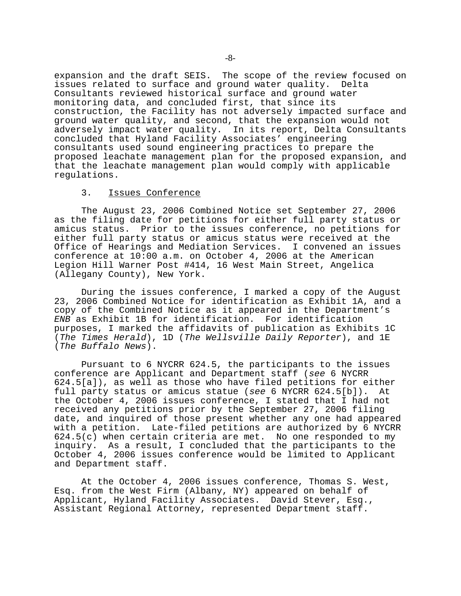expansion and the draft SEIS. The scope of the review focused on issues related to surface and ground water quality. Delta Consultants reviewed historical surface and ground water monitoring data, and concluded first, that since its construction, the Facility has not adversely impacted surface and ground water quality, and second, that the expansion would not adversely impact water quality. In its report, Delta Consultants concluded that Hyland Facility Associates' engineering consultants used sound engineering practices to prepare the proposed leachate management plan for the proposed expansion, and that the leachate management plan would comply with applicable regulations.

#### 3. Issues Conference

The August 23, 2006 Combined Notice set September 27, 2006 as the filing date for petitions for either full party status or amicus status. Prior to the issues conference, no petitions for either full party status or amicus status were received at the Office of Hearings and Mediation Services. I convened an issues conference at 10:00 a.m. on October 4, 2006 at the American Legion Hill Warner Post #414, 16 West Main Street, Angelica (Allegany County), New York.

During the issues conference, I marked a copy of the August 23, 2006 Combined Notice for identification as Exhibit 1A, and a copy of the Combined Notice as it appeared in the Department's *ENB* as Exhibit 1B for identification. For identification purposes, I marked the affidavits of publication as Exhibits 1C (*The Times Herald*), 1D (*The Wellsville Daily Reporter*), and 1E (*The Buffalo News*).

Pursuant to 6 NYCRR 624.5, the participants to the issues conference are Applicant and Department staff (*see* 6 NYCRR 624.5[a]), as well as those who have filed petitions for either full party status or amicus statue (*see* 6 NYCRR 624.5[b]). At the October 4, 2006 issues conference, I stated that I had not received any petitions prior by the September 27, 2006 filing date, and inquired of those present whether any one had appeared with a petition. Late-filed petitions are authorized by 6 NYCRR 624.5(c) when certain criteria are met. No one responded to my inquiry. As a result, I concluded that the participants to the October 4, 2006 issues conference would be limited to Applicant and Department staff.

At the October 4, 2006 issues conference, Thomas S. West, Esq. from the West Firm (Albany, NY) appeared on behalf of Applicant, Hyland Facility Associates. David Stever, Esq., Assistant Regional Attorney, represented Department staff.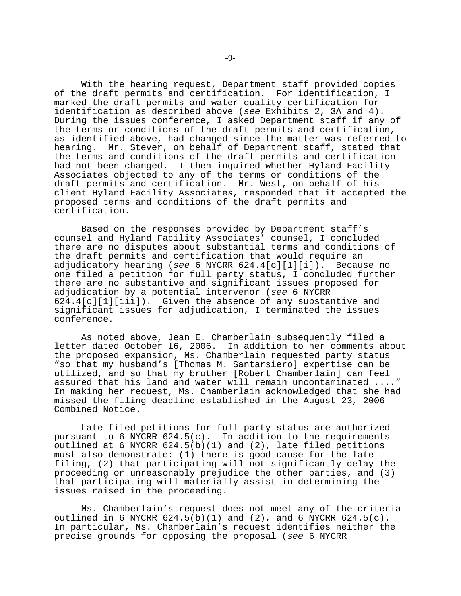With the hearing request, Department staff provided copies of the draft permits and certification. For identification, I marked the draft permits and water quality certification for identification as described above (*see* Exhibits 2, 3A and 4). During the issues conference, I asked Department staff if any of the terms or conditions of the draft permits and certification, as identified above, had changed since the matter was referred to hearing. Mr. Stever, on behalf of Department staff, stated that the terms and conditions of the draft permits and certification had not been changed. I then inquired whether Hyland Facility Associates objected to any of the terms or conditions of the draft permits and certification. Mr. West, on behalf of his client Hyland Facility Associates, responded that it accepted the proposed terms and conditions of the draft permits and certification.

Based on the responses provided by Department staff's counsel and Hyland Facility Associates' counsel, I concluded there are no disputes about substantial terms and conditions of the draft permits and certification that would require an adjudicatory hearing (*see* 6 NYCRR 624.4[c][1][i]). Because no one filed a petition for full party status, I concluded further there are no substantive and significant issues proposed for adjudication by a potential intervenor (*see* 6 NYCRR 624.4[c][1][iii]). Given the absence of any substantive and significant issues for adjudication, I terminated the issues conference.

As noted above, Jean E. Chamberlain subsequently filed a letter dated October 16, 2006. In addition to her comments about the proposed expansion, Ms. Chamberlain requested party status "so that my husband's [Thomas M. Santarsiero] expertise can be utilized, and so that my brother [Robert Chamberlain] can feel assured that his land and water will remain uncontaminated ...." In making her request, Ms. Chamberlain acknowledged that she had missed the filing deadline established in the August 23, 2006 Combined Notice.

Late filed petitions for full party status are authorized pursuant to 6 NYCRR 624.5(c). In addition to the requirements outlined at 6 NYCRR 624.5(b)(1) and (2), late filed petitions must also demonstrate: (1) there is good cause for the late filing, (2) that participating will not significantly delay the proceeding or unreasonably prejudice the other parties, and (3) that participating will materially assist in determining the issues raised in the proceeding.

Ms. Chamberlain's request does not meet any of the criteria outlined in 6 NYCRR  $624.5(b)(1)$  and  $(2)$ , and 6 NYCRR  $624.5(c)$ . In particular, Ms. Chamberlain's request identifies neither the precise grounds for opposing the proposal (*see* 6 NYCRR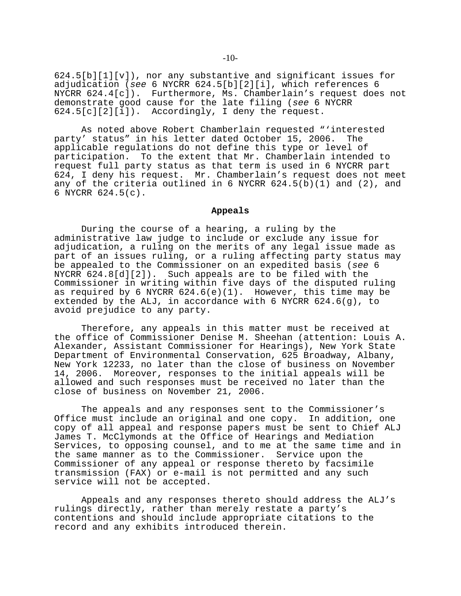624.5[b][1][v]), nor any substantive and significant issues for adjudication (*see* 6 NYCRR 624.5[b][2][i], which references 6 NYCRR 624.4[c]). Furthermore, Ms. Chamberlain's request does not demonstrate good cause for the late filing (*see* 6 NYCRR 624.5[c][2][i]). Accordingly, I deny the request.

As noted above Robert Chamberlain requested "'interested party' status" in his letter dated October 15, 2006. The applicable regulations do not define this type or level of participation. To the extent that Mr. Chamberlain intended to request full party status as that term is used in 6 NYCRR part 624, I deny his request. Mr. Chamberlain's request does not meet any of the criteria outlined in 6 NYCRR  $624.5(b)(1)$  and  $(2)$ , and 6 NYCRR 624.5(c).

#### **Appeals**

During the course of a hearing, a ruling by the administrative law judge to include or exclude any issue for adjudication, a ruling on the merits of any legal issue made as part of an issues ruling, or a ruling affecting party status may be appealed to the Commissioner on an expedited basis (*see* 6 NYCRR 624.8[d][2]). Such appeals are to be filed with the Commissioner in writing within five days of the disputed ruling as required by 6 NYCRR  $624.6(e)(1)$ . However, this time may be extended by the ALJ, in accordance with 6 NYCRR 624.6(g), to avoid prejudice to any party.

Therefore, any appeals in this matter must be received at the office of Commissioner Denise M. Sheehan (attention: Louis A. Alexander, Assistant Commissioner for Hearings), New York State Department of Environmental Conservation, 625 Broadway, Albany, New York 12233, no later than the close of business on November 14, 2006. Moreover, responses to the initial appeals will be allowed and such responses must be received no later than the close of business on November 21, 2006.

The appeals and any responses sent to the Commissioner's Office must include an original and one copy. In addition, one copy of all appeal and response papers must be sent to Chief ALJ James T. McClymonds at the Office of Hearings and Mediation Services, to opposing counsel, and to me at the same time and in the same manner as to the Commissioner. Service upon the Commissioner of any appeal or response thereto by facsimile transmission (FAX) or e-mail is not permitted and any such service will not be accepted.

Appeals and any responses thereto should address the ALJ's rulings directly, rather than merely restate a party's contentions and should include appropriate citations to the record and any exhibits introduced therein.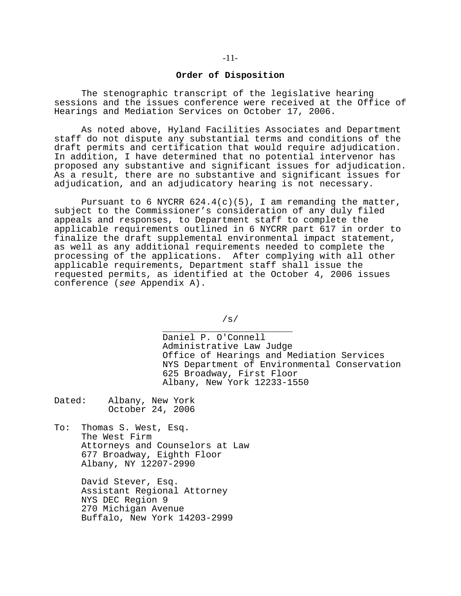#### **Order of Disposition**

The stenographic transcript of the legislative hearing sessions and the issues conference were received at the Office of Hearings and Mediation Services on October 17, 2006.

As noted above, Hyland Facilities Associates and Department staff do not dispute any substantial terms and conditions of the draft permits and certification that would require adjudication. In addition, I have determined that no potential intervenor has proposed any substantive and significant issues for adjudication. As a result, there are no substantive and significant issues for adjudication, and an adjudicatory hearing is not necessary.

Pursuant to 6 NYCRR  $624.4(c)(5)$ , I am remanding the matter, subject to the Commissioner's consideration of any duly filed appeals and responses, to Department staff to complete the applicable requirements outlined in 6 NYCRR part 617 in order to finalize the draft supplemental environmental impact statement, as well as any additional requirements needed to complete the processing of the applications. After complying with all other applicable requirements, Department staff shall issue the requested permits, as identified at the October 4, 2006 issues conference (*see* Appendix A).

/s/

\_\_\_\_\_\_\_\_\_\_\_\_\_\_\_\_\_\_\_\_\_\_\_\_ Daniel P. O'Connell Administrative Law Judge Office of Hearings and Mediation Services NYS Department of Environmental Conservation 625 Broadway, First Floor Albany, New York 12233-1550

- Dated: Albany, New York October 24, 2006
- To: Thomas S. West, Esq. The West Firm Attorneys and Counselors at Law 677 Broadway, Eighth Floor Albany, NY 12207-2990

David Stever, Esq. Assistant Regional Attorney NYS DEC Region 9 270 Michigan Avenue Buffalo, New York 14203-2999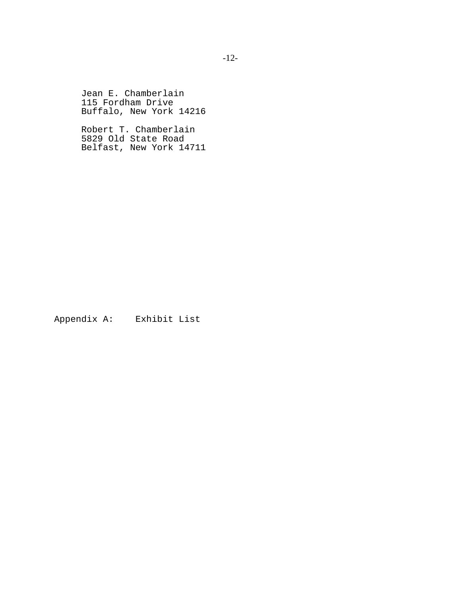Jean E. Chamberlain 115 Fordham Drive Buffalo, New York 14216

Robert T. Chamberlain 5829 Old State Road Belfast, New York 14711

Appendix A: Exhibit List